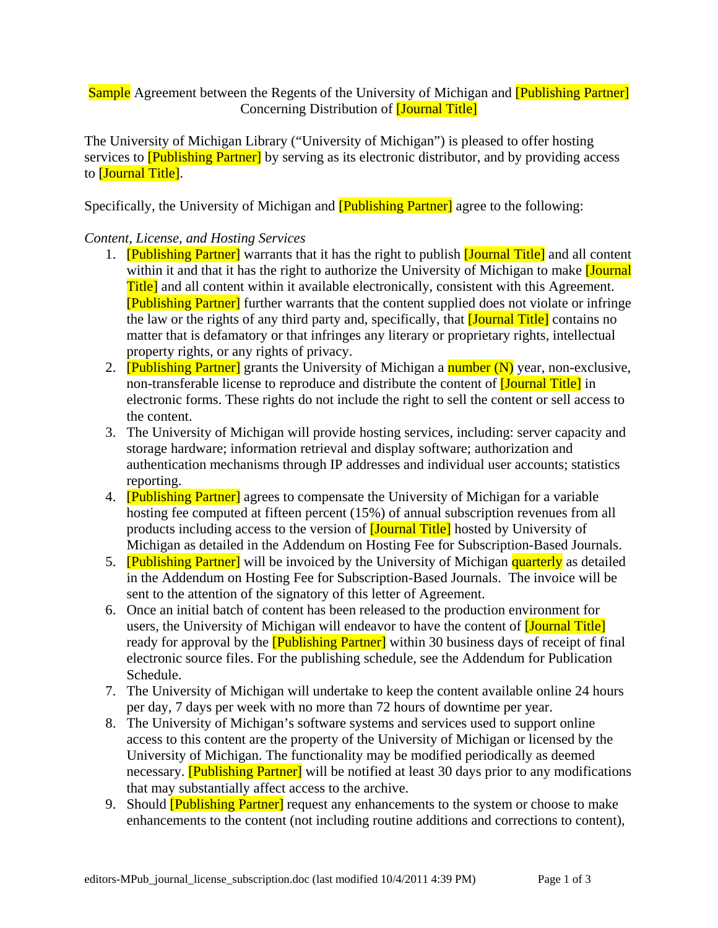# Sample Agreement between the Regents of the University of Michigan and **[Publishing Partner**] Concerning Distribution of [Journal Title]

The University of Michigan Library ("University of Michigan") is pleased to offer hosting services to **[Publishing Partner]** by serving as its electronic distributor, and by providing access to *[Journal Title]*.

Specifically, the University of Michigan and **[Publishing Partner]** agree to the following:

## *Content, License, and Hosting Services*

- 1. **[Publishing Partner]** warrants that it has the right to publish **[Journal Title]** and all content within it and that it has the right to authorize the University of Michigan to make *[Journal*] Title] and all content within it available electronically, consistent with this Agreement. [Publishing Partner] further warrants that the content supplied does not violate or infringe the law or the rights of any third party and, specifically, that **[Journal Title]** contains no matter that is defamatory or that infringes any literary or proprietary rights, intellectual property rights, or any rights of privacy.
- 2. **[Publishing Partner]** grants the University of Michigan a number (N) year, non-exclusive, non-transferable license to reproduce and distribute the content of **[Journal Title]** in electronic forms. These rights do not include the right to sell the content or sell access to the content.
- 3. The University of Michigan will provide hosting services, including: server capacity and storage hardware; information retrieval and display software; authorization and authentication mechanisms through IP addresses and individual user accounts; statistics reporting.
- 4. **[Publishing Partner]** agrees to compensate the University of Michigan for a variable hosting fee computed at fifteen percent (15%) of annual subscription revenues from all products including access to the version of [Journal Title] hosted by University of Michigan as detailed in the Addendum on Hosting Fee for Subscription-Based Journals.
- 5. **[Publishing Partner]** will be invoiced by the University of Michigan quarterly as detailed in the Addendum on Hosting Fee for Subscription-Based Journals. The invoice will be sent to the attention of the signatory of this letter of Agreement.
- 6. Once an initial batch of content has been released to the production environment for users, the University of Michigan will endeavor to have the content of **[Journal Title**] ready for approval by the **[Publishing Partner]** within 30 business days of receipt of final electronic source files. For the publishing schedule, see the Addendum for Publication Schedule.
- 7. The University of Michigan will undertake to keep the content available online 24 hours per day, 7 days per week with no more than 72 hours of downtime per year.
- 8. The University of Michigan's software systems and services used to support online access to this content are the property of the University of Michigan or licensed by the University of Michigan. The functionality may be modified periodically as deemed necessary. **[Publishing Partner]** will be notified at least 30 days prior to any modifications that may substantially affect access to the archive.
- 9. Should **[Publishing Partner]** request any enhancements to the system or choose to make enhancements to the content (not including routine additions and corrections to content),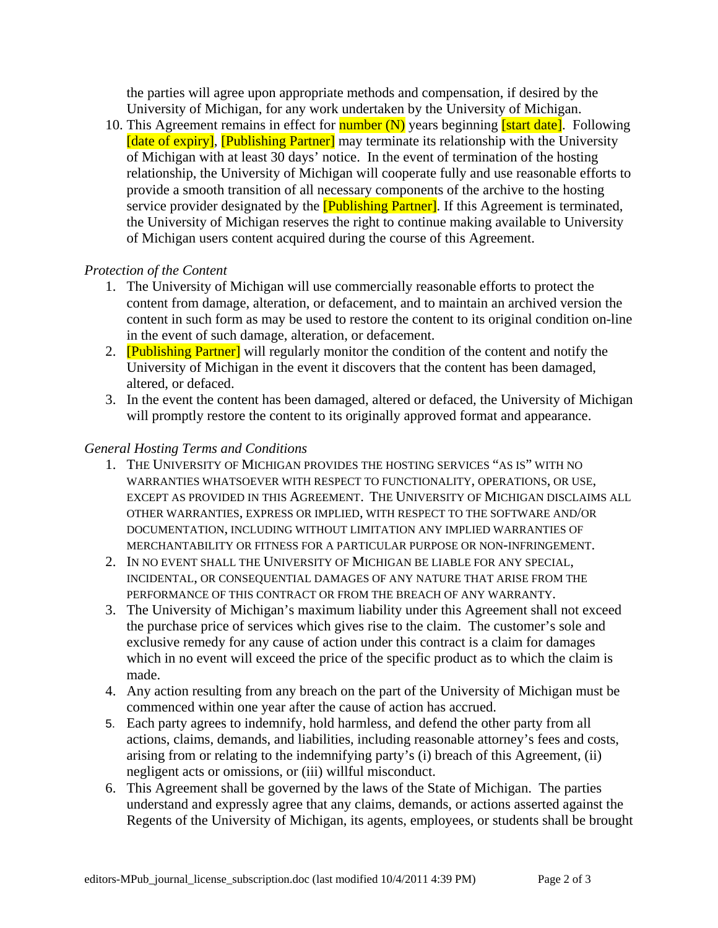the parties will agree upon appropriate methods and compensation, if desired by the University of Michigan, for any work undertaken by the University of Michigan.

10. This Agreement remains in effect for **number (N)** years beginning **[start date]**. Following [date of expiry], [Publishing Partner] may terminate its relationship with the University of Michigan with at least 30 days' notice. In the event of termination of the hosting relationship, the University of Michigan will cooperate fully and use reasonable efforts to provide a smooth transition of all necessary components of the archive to the hosting service provider designated by the **[Publishing Partner]**. If this Agreement is terminated, the University of Michigan reserves the right to continue making available to University of Michigan users content acquired during the course of this Agreement.

## *Protection of the Content*

- 1. The University of Michigan will use commercially reasonable efforts to protect the content from damage, alteration, or defacement, and to maintain an archived version the content in such form as may be used to restore the content to its original condition on-line in the event of such damage, alteration, or defacement.
- 2. **[Publishing Partner]** will regularly monitor the condition of the content and notify the University of Michigan in the event it discovers that the content has been damaged, altered, or defaced.
- 3. In the event the content has been damaged, altered or defaced, the University of Michigan will promptly restore the content to its originally approved format and appearance.

## *General Hosting Terms and Conditions*

- 1. THE UNIVERSITY OF MICHIGAN PROVIDES THE HOSTING SERVICES "AS IS" WITH NO WARRANTIES WHATSOEVER WITH RESPECT TO FUNCTIONALITY, OPERATIONS, OR USE, EXCEPT AS PROVIDED IN THIS AGREEMENT. THE UNIVERSITY OF MICHIGAN DISCLAIMS ALL OTHER WARRANTIES, EXPRESS OR IMPLIED, WITH RESPECT TO THE SOFTWARE AND/OR DOCUMENTATION, INCLUDING WITHOUT LIMITATION ANY IMPLIED WARRANTIES OF MERCHANTABILITY OR FITNESS FOR A PARTICULAR PURPOSE OR NON-INFRINGEMENT.
- 2. IN NO EVENT SHALL THE UNIVERSITY OF MICHIGAN BE LIABLE FOR ANY SPECIAL, INCIDENTAL, OR CONSEQUENTIAL DAMAGES OF ANY NATURE THAT ARISE FROM THE PERFORMANCE OF THIS CONTRACT OR FROM THE BREACH OF ANY WARRANTY.
- 3. The University of Michigan's maximum liability under this Agreement shall not exceed the purchase price of services which gives rise to the claim. The customer's sole and exclusive remedy for any cause of action under this contract is a claim for damages which in no event will exceed the price of the specific product as to which the claim is made.
- 4. Any action resulting from any breach on the part of the University of Michigan must be commenced within one year after the cause of action has accrued.
- 5. Each party agrees to indemnify, hold harmless, and defend the other party from all actions, claims, demands, and liabilities, including reasonable attorney's fees and costs, arising from or relating to the indemnifying party's (i) breach of this Agreement, (ii) negligent acts or omissions, or (iii) willful misconduct.
- 6. This Agreement shall be governed by the laws of the State of Michigan. The parties understand and expressly agree that any claims, demands, or actions asserted against the Regents of the University of Michigan, its agents, employees, or students shall be brought